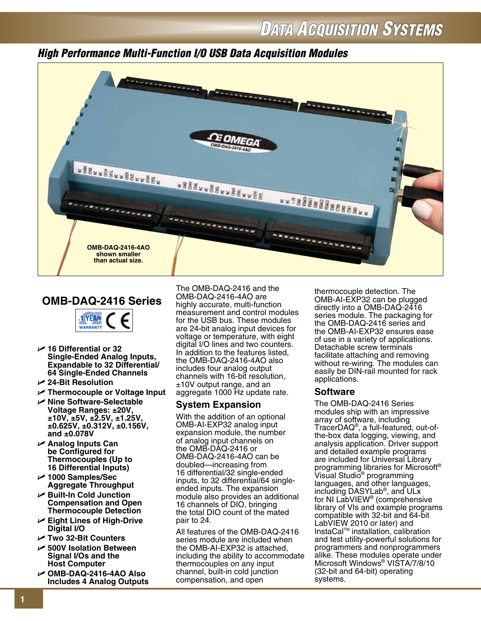## *High Performance Multi-Function I/O USB Data Acquisition Modules*



## **OMB-DAQ-2416 Series**



- U **16 Differential or 32 Single-Ended Analog Inputs, Expandable to 32 Differential/ 64 Single-Ended Channels**
- U **24-Bit Resolution**
- U **Thermocouple or Voltage Input**
- U **Nine Software-Selectable Voltage Ranges: ±20V, ±10V, ±5V, ±2.5V, ±1.25V, ±0.625V, ±0.312V, ±0.156V, and ±0.078V**
- U **Analog Inputs Can be Configured for Thermocouples (Up to 16 Differential Inputs)**
- U **1000 Samples/Sec Aggregate Throughput**
- <sup>U</sup> **Built-In Cold Junction Compensation and Open Thermocouple Detection**
- U **Eight Lines of High-Drive Digital I/O**
- U **Two 32-Bit Counters**
- <sup>U</sup> **500V Isolation Between Signal I/Os and the Host Computer**
- U **OMB-DAQ-2416-4AO Also Includes 4 Analog Outputs**

The OMB-DAQ-2416 and the OMB-DAQ-2416-4AO are highly accurate, multi-function measurement and control modules for the USB bus. These modules are 24-bit analog input devices for voltage or temperature, with eight digital I/O lines and two counters. In addition to the features listed, the OMB-DAQ-2416-4AO also includes four analog output channels with 16-bit resolution, ±10V output range, and an aggregate 1000 Hz update rate.

### **System Expansion**

With the addition of an optional OMB-AI-EXP32 analog input expansion module, the number of analog input channels on the OMB-DAQ-2416 or OMB-DAQ-2416-4AO can be doubled—increasing from 16 differential/32 single-ended inputs, to 32 differential/64 singleended inputs. The expansion module also provides an additional 16 channels of DIO, bringing the total DIO count of the mated pair to 24.

All features of the OMB-DAQ-2416 series module are included when the OMB-AI-EXP32 is attached, including the ability to accommodate thermocouples on any input channel, built-in cold junction compensation, and open

thermocouple detection. The OMB-AI-EXP32 can be plugged directly into a OMB-DAQ-2416 series module. The packaging for the OMB-DAQ-2416 series and the OMB-AI-EXP32 ensures ease of use in a variety of applications. Detachable screw terminals facilitate attaching and removing without re-wiring. The modules can easily be DIN-rail mounted for rack applications.

### **Software**

The OMB-DAQ-2416 Series modules ship with an impressive array of software, including TracerDAQ®, a full-featured, out-ofthe-box data logging, viewing, and analysis application. Driver support and detailed example programs are included for Universal Library programming libraries for Microsoft® Visual Studio<sup>®</sup> programming languages, and other languages, including DASYLab®, and ULx for NI LabVIEW<sup>®</sup> (comprehensive library of VIs and example programs compatible with 32-bit and 64-bit LabVIEW 2010 or later) and InstaCalTM installation, calibration and test utility-powerful solutions for programmers and nonprogrammers alike. These modules operate under Microsoft Windows® VISTA/7/8/10 (32-bit and 64-bit) operating systems.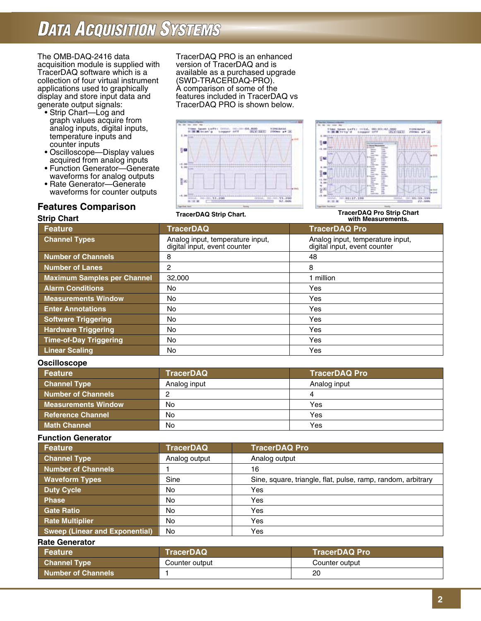The OMB-DAQ-2416 data acquisition module is supplied with TracerDAQ software which is a collection of four virtual instrument applications used to graphically display and store input data and generate output signals:

- Strip Chart—Log and graph values acquire from analog inputs, digital inputs, temperature inputs and counter inputs
- Oscilloscope—Display values acquired from analog inputs
- Function Generator—Generate waveforms for analog outputs
- Rate Generator—Generate waveforms for counter outputs

### **Features Comparison**

TracerDAQ PRO is an enhanced version of TracerDAQ and is available as a purchased upgrade (SWD-TRACERDAQ-PRO). A comparison of some of the features included in TracerDAQ vs TracerDAQ PRO is shown below.





**TracerDAQ Strip Chart.**

#### **Strip Chart Feature TracerDAQ TracerDAQ Pro Channel Types** Analog input, temperature input, Analog input, temperature input, temperature input, digital input, event counter and a digital input, event counter and a digital input, event counter and a digital input, e digital input, event counter **Number of Channels** 8 48 **Number of Lanes** 2 8 **Maximum Samples per Channel** 32,000 1 million **Alarm Conditions No** No Yes **Measurements Window** No Yes **Enter Annotations** No **No Yes Software Triggering No No No Yes Hardware Triggering No No Yes Time-of-Day Triggering** No Yes **Linear Scaling No No Yes** No Yes **with Measurements.**

#### **Oscilloscope**

| Feature                    | <b>TracerDAQ</b> | <b>TracerDAQ Pro</b> |
|----------------------------|------------------|----------------------|
| <b>Channel Type</b>        | Analog input     | Analog input         |
| Number of Channels         |                  |                      |
| <b>Measurements Window</b> | No               | Yes                  |
| <b>Reference Channel</b>   | No               | Yes                  |
| <b>Math Channel</b>        | No               | Yes                  |

#### **Function Generator**

| Feature                        | <b>TracerDAQ</b> | <b>TracerDAQ Pro</b>                                         |
|--------------------------------|------------------|--------------------------------------------------------------|
| <b>Channel Type</b>            | Analog output    | Analog output                                                |
| <b>Number of Channels</b>      |                  | 16                                                           |
| <b>Waveform Types</b>          | Sine             | Sine, square, triangle, flat, pulse, ramp, random, arbitrary |
| <b>Duty Cycle</b>              | No               | Yes                                                          |
| <b>Phase</b>                   | No               | Yes                                                          |
| Gate Ratio                     | No               | Yes                                                          |
| <b>Rate Multiplier</b>         | No               | Yes                                                          |
| Sweep (Linear and Exponential) | No               | Yes                                                          |

#### **Rate Generator**

| Feature             | <b>NTracerDAQ</b> | <b>TracerDAQ Pro</b> |
|---------------------|-------------------|----------------------|
| <b>Channel Type</b> | Counter output    | Counter output       |
| Number of Channels  |                   | 20                   |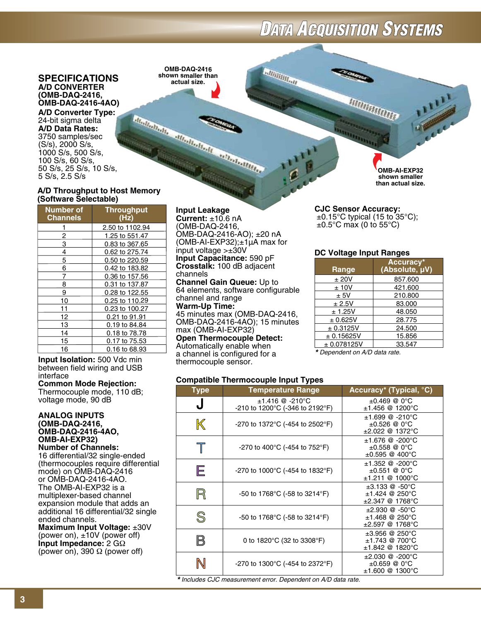**Fallillillillati** 

#### **SPECIFICATIONS A/D Converter (OMB-DAQ-2416, OMB-DAQ-2416-4AO)**

**A/D Converter Type:** 24-bit sigma delta **A/D Data Rates:** 3750 samples/sec (S/s), 2000 S/s, 1000 S/s, 500 S/s, 100 S/s, 60 S/s, 50 S/s, 25 S/s, 10 S/s, 5 S/s, 2.5 S/s

#### **A/D Throughput to Host Memory (Software Selectable)**

**Number of Throughput**   $Channels$ 1 2.50 to 1102.94  $\mathfrak{p}$  1.25 to 551.47 3 0.83 to 367.65 4 0.62 to 275.74 5 0.50 to 220.59 6 0.42 to 183.82 7 0.36 to 157.56 8 0.31 to 137.87 9 0.28 to 122.55 10 0.25 to 110.29 11 0.23 to 100.27 12 0.21 to 91.91 13 0.19 to 84.84 14 0.18 to 78.78 15 0.17 to 75.53 16 0.16 to 68.93

**Input Isolation:** 500 Vdc min between field wiring and USB interface

#### **Common Mode Rejection:**

Thermocouple mode, 110 dB; voltage mode, 90 dB

#### **Analog Inputs (OMB-DAQ-2416, OMB-DAQ-2416-4AO, OMB-AI-EXP32) Number of Channels:**

16 differential/32 single-ended (thermocouples require differential mode) on OMB-DAQ-2416 or OMB-DAQ-2416-4AO. The OMB-AI-EXP32 is a multiplexer-based channel expansion module that adds an additional 16 differential/32 single ended channels. **Maximum Input Voltage:** ±30V

(power on), ±10V (power off) **Input Impedance:** 2 GΩ (power on), 390  $\Omega$  (power off)

**OMB-DAQ-2416 shown smaller than actual size.**

FUENTRAITE ATTENTIFICATION AND TRANSPORTATION

**Input Leakage**

**Current:** ±10.6 nA (OMB-DAQ-2416, OMB-DAQ-2416-AO); ±20 nA (OMB-AI-EXP32); $\pm 1\mu$ A max for input voltage >±30V **Input Capacitance:** 590 pF **Crosstalk:** 100 dB adjacent channels **Channel Gain Queue:** Up to 64 elements, software configurable channel and range **Warm-Up Time:** 45 minutes max (OMB-DAQ-2416, OMB-DAQ-2416-4AO); 15 minutes max (OMB-AI-EXP32) **Open Thermocouple Detect:**  Automatically enable when a channel is configured for a

thermocouple sensor.

#### **Compatible Thermocouple Input Types**

| <b>Type</b>                                        | <b>Temperature Range</b>                             | Accuracy* (Typical, °C)                                                    |
|----------------------------------------------------|------------------------------------------------------|----------------------------------------------------------------------------|
| J                                                  | $±1.416$ @ -210°C<br>-210 to 1200°C (-346 to 2192°F) | $±0.469$ @ 0°C<br>$±1.456$ @ 1200°C                                        |
| $\mathbb K$                                        | -270 to 1372°C (-454 to 2502°F)                      | $±1.699$ @ -210°C<br>$±0.526$ @ 0°C<br>$\pm 2.022$ @ 1372°C                |
| $\top$                                             | -270 to 400 $^{\circ}$ C (-454 to 752 $^{\circ}$ F)  | $±1.676$ @ -200°C<br>$±0.558$ @ 0°C<br>$\pm 0.595$ @ 400°C                 |
| E                                                  | -270 to 1000°C (-454 to 1832°F)                      | $±1.352$ @ -200°C<br>$±0.551$ @ 0°C<br>$±1.211$ @ 1000°C                   |
| R                                                  | -50 to 1768°C (-58 to 3214°F)                        | $\pm 3.133 \ @.50^{\circ}C$<br>$±1.424$ @ 250 $°C$<br>$\pm 2.347$ @ 1768°C |
| $\mathbb{S}% _{M_{1},M_{2}}^{\alpha,\beta,\gamma}$ | -50 to 1768°C (-58 to 3214°F)                        | $±2.930$ @ $-50^{\circ}$ C<br>$±1.468$ @ 250 $°C$<br>$\pm 2.597$ @ 1768°C  |
| B                                                  | 0 to 1820 $^{\circ}$ C (32 to 3308 $^{\circ}$ F)     | $±3.956$ @ 250 $°C$<br>$±1.743$ @ 700 $°C$<br>$±1.842$ @ 1820°C            |
|                                                    | -270 to 1300°C (-454 to 2372°F)                      | $±2.030$ @ -200°C<br>$±0.659$ @ 0°C<br>$±1.600$ @ 1300°C                   |

*\* Includes CJC measurement error. Dependent on A/D data rate.*

**OMB-AI-EXP32 shown smaller than actual size.**

#### **CJC Sensor Accuracy:**

 $\pm$ 0.15°C typical (15 to 35°C);  $\pm$ 0.5°C max (0 to 55°C)

**ITIRITARIA** 

#### **DC Voltage Input Ranges**

| Range        | Accuracy*<br>(Absolute, µV) |
|--------------|-----------------------------|
| ± 20V        | 857.600                     |
| ±10V         | 421.600                     |
| ± 5V         | 210.800                     |
| ± 2.5V       | 83.000                      |
| ± 1.25V      | 48.050                      |
| $\pm$ 0.625V | 28.775                      |
| ± 0.3125V    | 24.500                      |
| ± 0.15625V   | 15.856                      |
| ± 0.078125V  | 33.547                      |

*\* Dependent on A/D data rate.*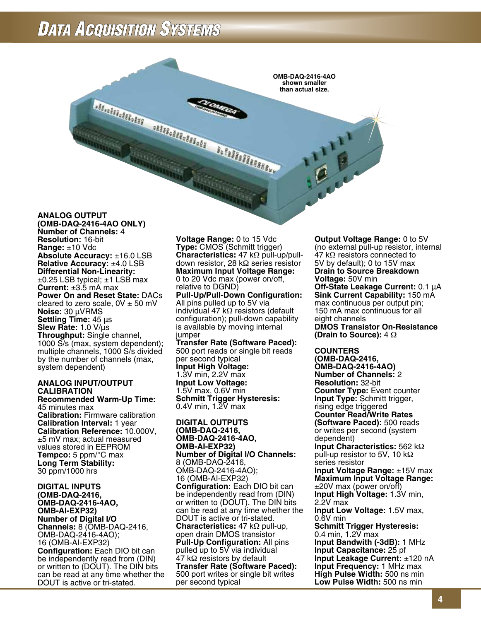

#### **(OMB-DAQ-2416-4AO Only) Number of Channels:** 4 **Resolution:** 16-bit **Range:** ±10 Vdc **Absolute Accuracy:** ±16.0 LSB **Relative Accuracy:** ±4.0 LSB **Differential Non-Linearity:**  $\pm$ 0.25 LSB typical;  $\pm$ 1 LSB max **Current:** ±3.5 mA max **Power On and Reset State:** DACs cleared to zero scale,  $0V \pm 50$  mV **Noise:** 30 µVRMS **Settling Time:** 45 µs **Slew Rate:** 1.0 V/µs **Throughput:** Single channel, 1000 S/s (max, system dependent); multiple channels, 1000 S/s divided by the number of channels (max, system dependent)

#### **ANALOG INPUT/OUTPUT CALIBRATION**

**Recommended Warm-Up Time:** 45 minutes max **Calibration:** Firmware calibration **Calibration Interval:** 1 year **Calibration Reference:** 10.000V, ±5 mV max; actual measured values stored in EEPROM **Tempco:** 5 ppm/°C max **Long Term Stability:** 30 ppm/1000 hrs

**DIGITAL INPUTS (OMB-DAQ-2416, OMB-DAQ-2416-4AO, OMB-AI-EXP32) Number of Digital I/O Channels:** 8 (OMB-DAQ-2416, OMB-DAQ-2416-4AO); 16 (OMB-AI-EXP32) **Configuration:** Each DIO bit can be independently read from (DIN) or written to (DOUT). The DIN bits can be read at any time whether the DOUT is active or tri-stated.

**Voltage Range:** 0 to 15 Vdc **Type:** CMOS (Schmitt trigger) **Characteristics:** 47 kΩ pull-up/pulldown resistor, 28 kΩ series resistor **Maximum Input Voltage Range:** 0 to 20 Vdc max (power on/off, relative to DGND)

**Pull-Up/Pull-Down Configuration:**  All pins pulled up to 5V via individual 47 kΩ resistors (default configuration); pull-down capability is available by moving internal jumper

**Transfer Rate (Software Paced):**  500 port reads or single bit reads per second typical **Input High Voltage:** 1.3V min, 2.2V max **Input Low Voltage:** 1.5V max, 0.6V min **Schmitt Trigger Hysteresis:** 0.4V min,  $1.\overline{2}V$  max

#### **DIGITAL OUTPUTS (OMB-DAQ-2416, OMB-DAQ-2416-4AO, OMB-AI-EXP32) Number of Digital I/O Channels:** 8 (OMB-DAQ-2416, OMB-DAQ-2416-4AO); 16 (OMB-AI-EXP32) **Configuration:** Each DIO bit can be independently read from (DIN) or written to (DOUT). The DIN bits can be read at any time whether the DOUT is active or tri-stated. **Characteristics:** 47 kΩ pull-up, open drain DMOS transistor **Pull-Up Configuration:** All pins pulled up to 5V via individual 47 kΩ resistors by default **Transfer Rate (Software Paced):** 500 port writes or single bit writes per second typical

**Output Voltage Range:** 0 to 5V (no external pull-up resistor, internal 47 kΩ resistors connected to 5V by default); 0 to 15V max **Drain to Source Breakdown Voltage:** 50V min **Off-State Leakage Current:** 0.1 µA **Sink Current Capability:** 150 mA max continuous per output pin; 150 mA max continuous for all eight channels **DMOS Transistor On-Resistance (Drain to Source):** 4 Ω

**COUNTERS (OMB-DAQ-2416, OMB-DAQ-2416-4AO) Number of Channels:** 2 **Resolution:** 32-bit **Counter Type:** Event counter **Input Type:** Schmitt trigger, rising edge triggered **Counter Read/Write Rates (Software Paced):** 500 reads or writes per second (system dependent) **Input Characteristics:** 562 kΩ pull-up resistor to 5V, 10 kΩ series resistor **Input Voltage Range:** ±15V max **Maximum Input Voltage Range:** ±20V max (power on/off) **Input High Voltage:** 1.3V min, 2.2V max **Input Low Voltage:** 1.5V max, 0.6V min **Schmitt Trigger Hysteresis:** 0.4 min, 1.2V max **Input Bandwith (-3dB):** 1 MHz **Input Capacitance:** 25 pf **Input Leakage Current:** ±120 nA **Input Frequency:** 1 MHz max **High Pulse Width:** 500 ns min **Low Pulse Width:** 500 ns min